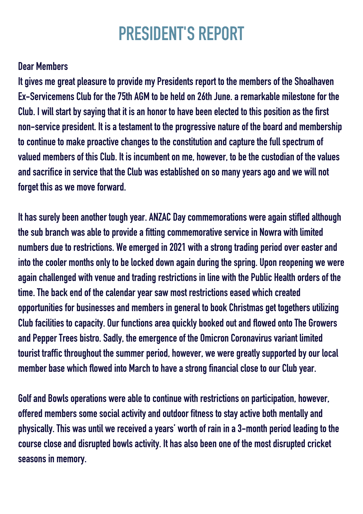# **PRESIDENT'S REPORT**

### **Dear Members**

**lt gives me great pleasure to provide my Presidents report to the members of the Shoalhaven Ex-Servicemens Clubfor the75th AGM tobeheldon26thJune. a remarkable milestone for the Club. I will startby sayingthat it is anhonor tohavebeenelectedto thispositionas the first non-servicepresident. It is a testament to theprogressivenature of theboardand membership to** continue to make proactive changes to the constitution and capture the full spectrum of **valued members of this Club. It is incumbent on me,however, tobe the custodianof the values andsacrifice inservice that the Club was establishedonso many years ago and we willnot forget this as we move forward.**

**Ithas surelybeenanother toughyear. ANZAC Day commemorations were againstifledalthough the subbranch was able toprovide a fittingcommemorative service in Nowra withlimited numbersdue to restrictions. We emergedin2021 witha strongtradingperiodover easter and into** the cooler months only to be locked down again during the spring. Upon reopening we were **againchallenged withvenue andtradingrestrictions inline withthe Public Healthorders of the time. Thebackendof the calendar year saw most restrictions eased whichcreated opportunities forbusinesses and members ingeneral tobook Christmasget togethersutilizing Clubfacilities to capacity. Our functions areaquicklybookedout andflowedonto The Growers and Pepper Treesbistro. Sadly, the emergence of the Omicron Coronavirus variant limited tourist** traffic throughout the summer period, however, we were greatly supported by our local **member base which flowed into March to have a strong financial close to our Club year.** 

**Golf and Bowls operations were able to continue withrestrictions onparticipation,however, offered members some social activity andoutdoor fitness to stay activeboth mentally and physically. This wasuntil we receiveda years' worthof rainina3-monthperiodleadingto the course close and disrupted bowls activity. It has also been one of the most disrupted cricket seasons in memory.**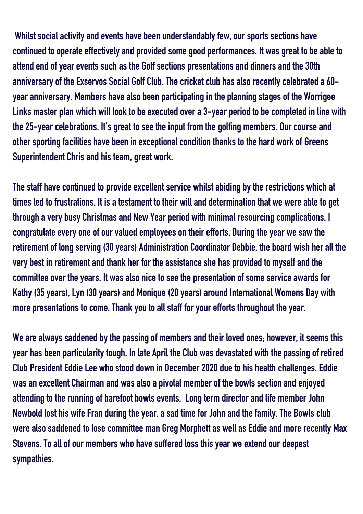**Whilst social activity andeventshavebeenunderstandably few, our sports sectionshave continued to operate effectively and provided some good performances. It was great to be able to attendendof year events suchas the Golf sectionspresentations anddinners andthe30th anniversary of the Exservos Social Golf Club. The cricket clubhas also recently celebrateda60 year anniversary. Membershave alsobeenparticipatingintheplanningstages of the Worrigee Links** master plan which will look to be executed over a 3-year period to be completed in line with **the25-year celebrations. It'sgreat to see the input from thegolfing members. Our course and other sportingfacilitieshavebeeninexceptional conditionthanks to thehard workof Greens Superintendent Chris andhis team,great work.**

**The** staff have continued to provide excellent service whilst abiding by the restrictions which at **times ledto frustrations. It is a testament to their will anddeterminationthat we were able toget througha verybusy Christmas and New Yearperiod with minimal resourcingcomplications. I congratulate every one of our valuedemployees ontheir efforts. Duringthe year we saw the retirement of longserving(30years) Administration Coordinator Debbie, theboard wishher all the very best in retirement and thank her for the assistance she has provided to myself and the committee over the years. It was alsonice to see thepresentationof some service awards for Kathy (35years), Lyn(30years) and Monique (20years) aroundInternational Womens Day with morepresentations to come. Thankyouto all staff for your efforts throughout the year.**

**We are always saddenedby thepassingof members andtheir lovedones;however, it seems this yearhasbeenparticularity tough. Inlate April the Club wasdevastated withthepassingof retired Club President Eddie Lee who stooddownin December2020due tohishealthchallenges. Eddie was** an excellent Chairman and was also a pivotal member of the bowls section and enjoyed **attending to the running of barefoot bowls events. Long term director and life member John Newboldlosthis wife Franduringthe year, a sadtime for Johnandthe family. The Bowls club were also saddenedto lose committee man Greg Morphett as well as Eddie and more recently Max Stevens. To all of our members whohave sufferedloss this year we extendourdeepest sympathies.**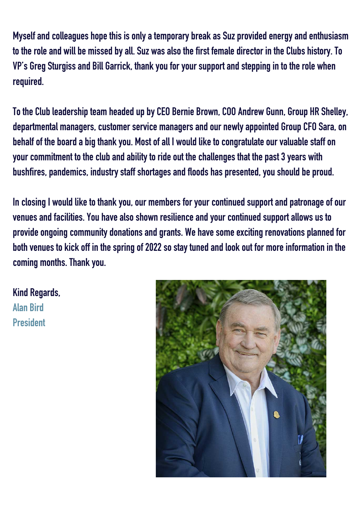**Myself andcolleagueshope this is only a temporarybreakas Suzprovidedenergy andenthusiasm to the role and willbe missedby all. Suz was also the first femaledirector inthe Clubshistory. To VP's Greg Sturgiss and Bill Garrick, thankyoufor your support andsteppinginto the role when required.**

**To the Clubleadershipteam headedupby CEO Bernie Brown, COO Andrew Gunn, Group HR Shelley, departmental managers, customer service managers andournewly appointed Group CFO Sara, on behalf of theboardabigthankyou. Most of all I wouldlike to congratulate our valuable staff on your commitment to the clubandability to ride out the challenges that thepast3years with bushfires,pandemics, industry staff shortages andfloodshaspresented, youshouldbeproud.**

**InclosingI wouldlike to thankyou, our members for your continuedsupport andpatronage of our venues andfacilities.Youhave also shownresilience andyour continuedsupport allowsus to provide ongoing community donations and grants. We have some exciting renovations planned for bothvenues tokickoff inthe springof2022so stay tunedandlookout for more informationinthe coming months. Thankyou.**

**Kind Regards, Alan Bird President**

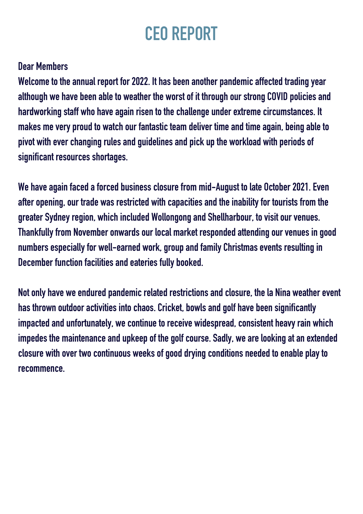# **CEO REPORT**

### **Dear Members**

**Welcome to the annual report for 2022. It has been another pandemic affected trading year although wehavebeenable to weather the worst of it throughour strong COVID policies and hardworkingstaff whohave againrisento the challengeunder extreme circumstances. It makes me veryproudto watchour fantastic team deliver time andtime again,beingable to pivot with ever changing rules and guidelines and pick up the workload with periods of significant resources shortages.**

**Wehave againfaceda forcedbusiness closure from mid-August to late October 2021. Even after opening, our trade was restricted withcapacities andthe inability for tourists from the greater Sydney region, whichincluded Wollongongand Shellharbour, to visit our venues. Thankfully from November onwards our local market respondedattendingour venues ingood numbers especially for well-earned work,groupandfamily Christmas events resultingin December function facilities and eateries fully booked.** 

**Not onlyhave we enduredpandemic relatedrestrictions andclosure, the la Nina weather event has thrownoutdoor activities into chaos. Cricket,bowls andgolfhavebeensignificantly impactedandunfortunately, we continue to receive widespread, consistentheavy rain which impedes the maintenance andupkeepof thegolf course. Sadly, we are lookingat anextended closure** with over two continuous weeks of good drying conditions needed to enable play to **recommence.**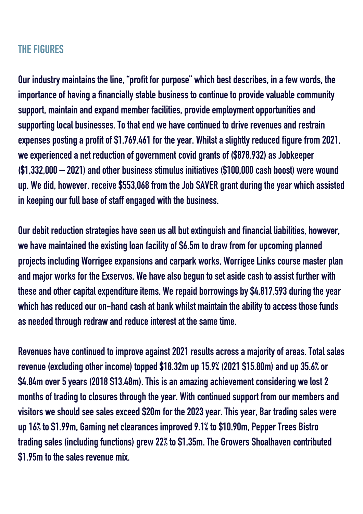### **THE FIGURES**

**Our industry maintains the line, "profit forpurpose" whichbestdescribes, ina few words, the importance ofhavinga financially stablebusiness to continue toprovide valuable community support, maintainandexpand member facilities,provide employment opportunities and supportinglocalbusinesses. To that end wehave continuedtodrive revenues andrestrain expensespostingaprofit of\$1,769,461for the year. Whilst a slightly reducedfigure from 2021, we experiencedanet reductionofgovernment covidgrants of (\$878,932) as Jobkeeper (\$1,332,000 – 2021) andotherbusiness stimulus initiatives (\$100,000cashboost) were wound up. Wedid,however, receive\$553,068from the Job SAVER grantduringthe year whichassisted in keeping our full base of staff engaged with the business.** 

**Ourdebit reductionstrategieshave seenus allbut extinguishandfinancial liabilities,however, we have maintained the existing loan facility of \$6.5m to draw from for upcoming planned projects including Worrigee expansions andcarpark works, Worrigee Links course masterplan and major works for the Exservos. Wehave alsobegunto set aside cashto assist further with these andother capital expenditure items. We repaidborrowingsby\$4,817,593duringthe year whichhas reducedour on-handcashatbank whilst maintainthe ability to access those funds asneededthroughredraw andreduce interest at the same time.**

**Revenueshave continuedto improve against 2021results across a majority of areas. Total sales revenue (excludingother income) topped\$18.32m up15.9% (2021\$15.80m) andup35.6% or \$4.84m over5years (2018\$13.48m). This is anamazingachievement considering we lost2 months** of trading to closures through the year. With continued support from our members and **visitors we shouldsee sales exceed\$20m for the2023year. This year, Bar tradingsales were up16% to\$1.99m, Gamingnet clearances improved9.1% to\$10.90m, Pepper Trees Bistro tradingsales (includingfunctions)grew 22% to\$1.35m. The Growers Shoalhavencontributed \$1.95m to the sales revenue mix.**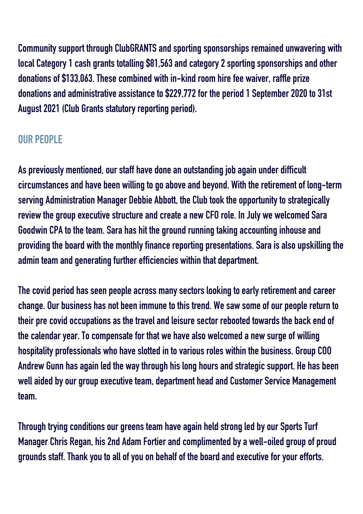**Community** support through ClubGRANTS and sporting sponsorships remained unwavering with **local Category1cashgrants totalling\$81,563andcategory2sportingsponsorships andother donations of\$133,063. These combined within-kindroom hire fee waiver, raffleprize donations andadministrative assistance to\$229,772for theperiod1 September2020 to31st** August 2021 (Club Grants statutory reporting period).

## **OUR PEOPLE**

**Aspreviously mentioned, our staffhavedone anoutstandingjobagainunderdifficult circumstances andhavebeen willingtogo above andbeyond. Withthe retirement of long-term serving Administration Manager Debbie Abbott, the Clubtookthe opportunity to strategically review thegroupexecutive structure andcreate anew CFO role. InJuly we welcomed Sara Goodwin CPA to the team. Sarahashit thegroundrunningtakingaccountinginhouse and providingtheboard withthe monthly finance reportingpresentations. Sara is alsoupskillingthe admin team and generating further efficiencies within that department.** 

**The covid period has seen people across many sectors looking to early retirement and career change.** Our business has not been immune to this trend. We saw some of our people return to **theirpre covidoccupations as the travel andleisure sector rebootedtowards thebackendof the calendar year. To compensate for that wehave also welcomedanew surge of willing hospitalityprofessionals whohave slottedinto various roles withinthebusiness. Group COO Andrew Gunnhas againledthe way throughhis longhours andstrategic support. Hehasbeen well aided by our group executive team, department head and Customer Service Management team.**

**Through trying conditions our greens team have again held strong led by our Sports Turf Manager Chris Regan, his 2nd Adam Fortier and complimented by a well-oiled group of proud grounds staff. Thankyouto all of youonbehalf of theboardandexecutive for your efforts.**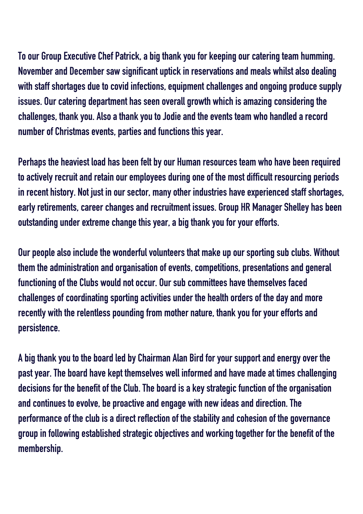**To our GroupExecutive Chef Patrick, abigthankyouforkeepingour cateringteam humming. November and December saw significant uptick in reservations and meals whilst also dealing with staff shortages due to covid infections, equipment challenges and ongoing produce supply issues. Our catering department has seen overall growth which is amazing considering the challenges, thankyou. Also a thankyouto Jodie andthe events team whohandleda record number of Christmas events,parties andfunctions this year.**

**Perhaps the heaviest load has been felt by our Human resources team who have been required to** actively recruit and retain our employees during one of the most difficult resourcing periods **inrecenthistory. Not just inour sector, many other industrieshave experiencedstaff shortages, early** retirements, career changes and recruitment issues. Group HR Manager Shelley has been **outstandingunder extreme change this year, abigthankyoufor your efforts.**

**Ourpeople also include the wonderful volunteers that makeupour sportingsubclubs. Without them the administrationandorganisationof events, competitions,presentations andgeneral functioningof the Clubs wouldnot occur. Our subcommitteeshave themselves faced challenges** of coordinating sporting activities under the health orders of the day and more **recently** with the relentless pounding from mother nature, thank you for your efforts and **persistence.**

**A bigthankyouto theboardledby Chairman Alan Birdfor your support andenergy over the past year. The board have kept themselves well informed and have made at times challenging decisions for thebenefit of the Club. Theboardis akey strategic functionof the organisation and continues to evolve, be proactive and engage with new ideas and direction. The performance of the clubis adirect reflectionof the stability andcohesionof thegovernance groupinfollowingestablishedstrategic objectives and workingtogether for thebenefit of the membership.**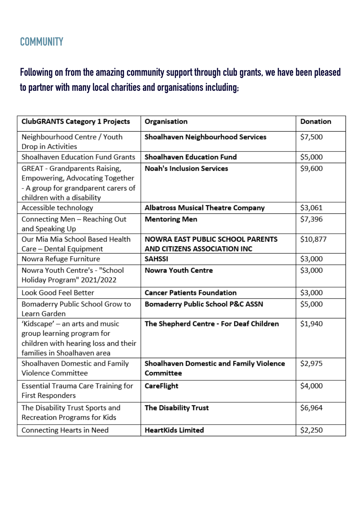## **COMMUNITY**

## Following on from the amazing community support through club grants, we have been pleased **topartner with many local charities andorganisations including;**

| <b>ClubGRANTS Category 1 Projects</b>     | Organisation                                | Donation |
|-------------------------------------------|---------------------------------------------|----------|
| Neighbourhood Centre / Youth              | Shoalhaven Neighbourhood Services           | \$7,500  |
| Drop in Activities                        |                                             |          |
| Shoalhaven Education Fund Grants          | Shoalhaven Education Fund                   | \$5,000  |
| <b>GREAT</b> - Grandparents Raising,      | <b>Noah's Inclusion Services</b>            | \$9,600  |
| Empowering, Advocating Together           |                                             |          |
| - A group for grandparent carers of       |                                             |          |
| children with a disability                |                                             |          |
| Accessible technology                     | Albatross Musical Theatre Company           | \$3,061  |
| Connecting Men - Reaching Out             | <b>Mentoring Men</b>                        | \$7,396  |
| and Speaking Up                           |                                             |          |
| Our Mia Mia School Based Health           | <b>NOWRA EAST PUBLIC SCHOOL PARENTS</b>     | \$10,877 |
| Care - Dental Equipment                   | AND CITIZENS ASSOCIATION INC                |          |
| Nowra Refuge Furniture                    | <b>SAHSSI</b>                               | \$3,000  |
| Nowra Youth Centre's - "School            | Nowra Youth Centre                          | \$3,000  |
| Holiday Program" 2021/2022                |                                             |          |
| Look Good Feel Better                     | <b>Cancer Patients Foundation</b>           | \$3,000  |
| Bomaderry Public School Grow to           | <b>Bomaderry Public School P&amp;C ASSN</b> | \$5,000  |
| Learn Garden                              |                                             |          |
| 'Kidscape' - an arts and music            | The Shepherd Centre - For Deaf Children     | \$1,940  |
| group learning program for                |                                             |          |
| children with hearing loss and their      |                                             |          |
| families in Shoalhaven area               |                                             |          |
| Shoalhaven Domestic and Family            | Shoalhaven Domestic and Family Violence     | \$2,975  |
| Violence Committee                        | Committee                                   |          |
| <b>Essential Trauma Care Training for</b> | CareFlight                                  | \$4,000  |
| <b>First Responders</b>                   |                                             |          |
| The Disability Trust Sports and           | The Disability Trust                        | \$6,964  |
| Recreation Programs for Kids              |                                             |          |
| Connecting Hearts in Need                 | <b>HeartKids Limited</b>                    | \$2,250  |